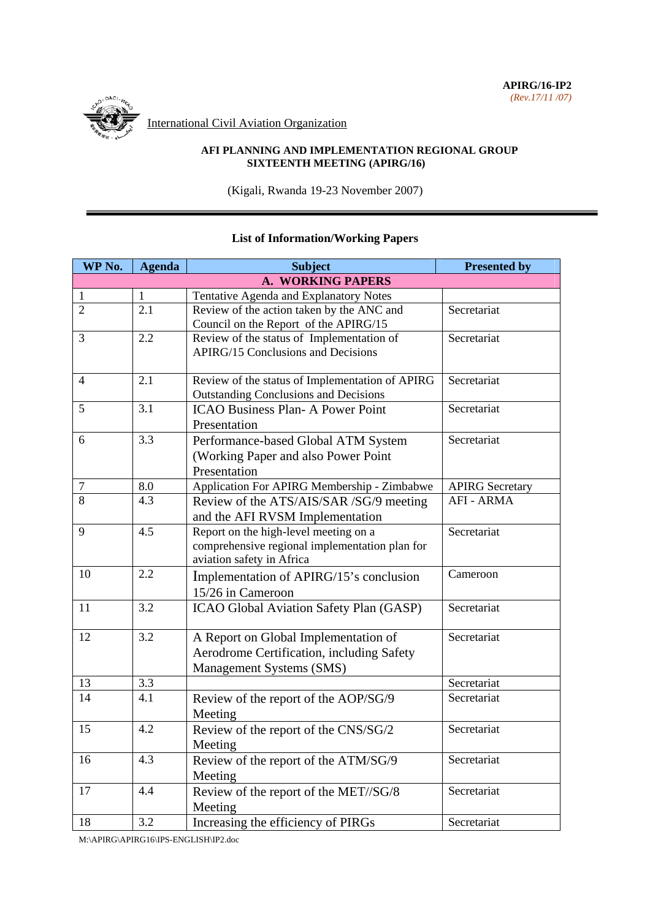**APIRG/16-IP2**  *(Rev.17/11 /07)*



International Civil Aviation Organization

#### **AFI PLANNING AND IMPLEMENTATION REGIONAL GROUP SIXTEENTH MEETING (APIRG/16)**

(Kigali, Rwanda 19-23 November 2007)

#### **WP No.** Agenda Subject Subject Presented by **A. WORKING PAPERS**  1 1 1 Tentative Agenda and Explanatory Notes 2 2.1 Review of the action taken by the ANC and Council on the Report of the APIRG/15 **Secretariat** 3 2.2 Review of the status of Implementation of APIRG/15 Conclusions and Decisions **Secretariat** 4 2.1 Review of the status of Implementation of APIRG Outstanding Conclusions and Decisions Secretariat 5 3.1 ICAO Business Plan- A Power Point Presentation **Secretariat** 6 3.3 Performance-based Global ATM System (Working Paper and also Power Point Presentation **Secretariat** 7 8.0 Application For APIRG Membership - Zimbabwe APIRG Secretary 8 4.3 Review of the ATS/AIS/SAR /SG/9 meeting and the AFI RVSM Implementation AFI - ARMA 9 4.5 Report on the high-level meeting on a comprehensive regional implementation plan for aviation safety in Africa **Secretariat** 10 2.2 Implementation of APIRG/15's conclusion 15/26 in Cameroon Cameroon 11 3.2 | ICAO Global Aviation Safety Plan (GASP) Secretariat 12 3.2 A Report on Global Implementation of Aerodrome Certification, including Safety Management Systems (SMS) Secretariat 13 3.3 3.3 Secretariat 14 4.1 Review of the report of the AOP/SG/9 Meeting **Secretariat** 15 4.2 Review of the report of the CNS/SG/2 Meeting Secretariat 16 4.3 Review of the report of the ATM/SG/9 Meeting **Secretariat** 17 4.4 Review of the report of the MET//SG/8 Meeting **Secretariat** 18 3.2 Increasing the efficiency of PIRGs Secretariat

## **List of Information/Working Papers**

M:\APIRG\APIRG16\IPS-ENGLISH\IP2.doc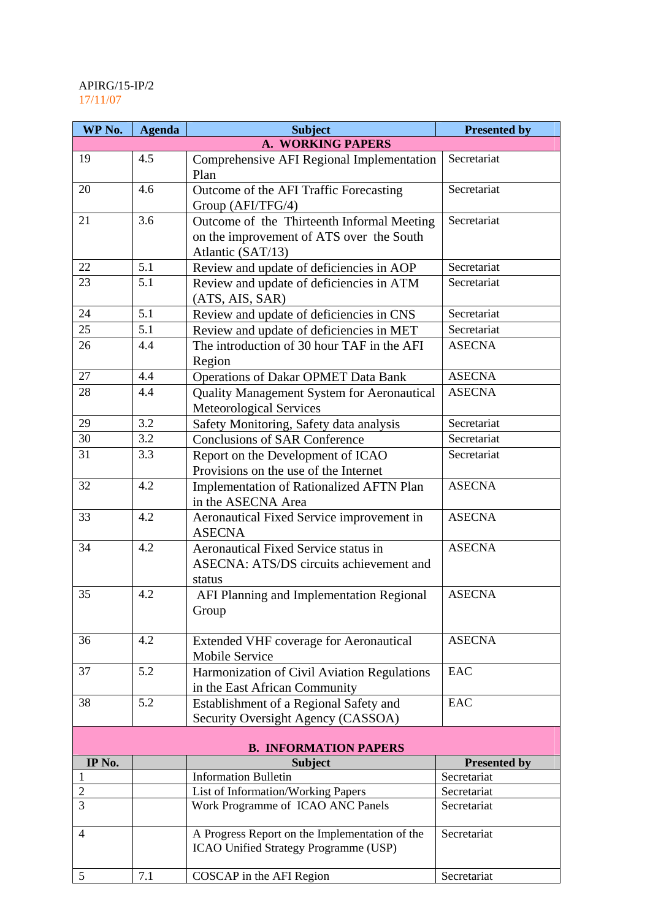## APIRG/15-IP/2 17/11/07

| WP No.                       | <b>Agenda</b> | <b>Subject</b>                                                                                   | <b>Presented by</b> |  |
|------------------------------|---------------|--------------------------------------------------------------------------------------------------|---------------------|--|
|                              |               | A. WORKING PAPERS                                                                                |                     |  |
| 19                           | 4.5           | Comprehensive AFI Regional Implementation<br>Plan                                                | Secretariat         |  |
| 20                           | 4.6           | Outcome of the AFI Traffic Forecasting<br>Group (AFI/TFG/4)                                      | Secretariat         |  |
| 21                           | 3.6           | Outcome of the Thirteenth Informal Meeting                                                       | Secretariat         |  |
|                              |               | on the improvement of ATS over the South                                                         |                     |  |
|                              |               | Atlantic (SAT/13)                                                                                |                     |  |
| 22                           | 5.1           | Review and update of deficiencies in AOP                                                         | Secretariat         |  |
| 23                           | 5.1           | Review and update of deficiencies in ATM<br>(ATS, AIS, SAR)                                      | Secretariat         |  |
| 24                           | 5.1           | Review and update of deficiencies in CNS                                                         | Secretariat         |  |
| 25                           | 5.1           | Review and update of deficiencies in MET                                                         | Secretariat         |  |
| 26                           | 4.4           | The introduction of 30 hour TAF in the AFI<br>Region                                             | <b>ASECNA</b>       |  |
| 27                           | 4.4           | <b>Operations of Dakar OPMET Data Bank</b>                                                       | <b>ASECNA</b>       |  |
| 28                           | 4.4           | <b>Quality Management System for Aeronautical</b><br>Meteorological Services                     | <b>ASECNA</b>       |  |
| 29                           | 3.2           | Safety Monitoring, Safety data analysis                                                          | Secretariat         |  |
| 30                           | 3.2           | <b>Conclusions of SAR Conference</b>                                                             | Secretariat         |  |
| 31                           | 3.3           | Report on the Development of ICAO<br>Provisions on the use of the Internet                       | Secretariat         |  |
| 32                           | 4.2           | Implementation of Rationalized AFTN Plan<br>in the ASECNA Area                                   | <b>ASECNA</b>       |  |
| 33                           | 4.2           | Aeronautical Fixed Service improvement in<br><b>ASECNA</b>                                       | <b>ASECNA</b>       |  |
| 34                           | 4.2           | <b>Aeronautical Fixed Service status in</b><br>ASECNA: ATS/DS circuits achievement and<br>status | <b>ASECNA</b>       |  |
| 35                           | 4.2           | AFI Planning and Implementation Regional<br>Group                                                | <b>ASECNA</b>       |  |
| 36                           | 4.2           | <b>Extended VHF coverage for Aeronautical</b><br><b>Mobile Service</b>                           | <b>ASECNA</b>       |  |
| 37                           | 5.2           | Harmonization of Civil Aviation Regulations<br>in the East African Community                     | EAC                 |  |
| 38                           | 5.2           | Establishment of a Regional Safety and<br>Security Oversight Agency (CASSOA)                     | EAC                 |  |
| <b>B. INFORMATION PAPERS</b> |               |                                                                                                  |                     |  |
| IP No.                       |               | <b>Subject</b>                                                                                   | <b>Presented by</b> |  |
| 1                            |               | <b>Information Bulletin</b>                                                                      | Secretariat         |  |
| $\overline{2}$               |               | List of Information/Working Papers                                                               | Secretariat         |  |
| 3                            |               | Work Programme of ICAO ANC Panels                                                                | Secretariat         |  |
| $\overline{4}$               |               | A Progress Report on the Implementation of the<br>ICAO Unified Strategy Programme (USP)          | Secretariat         |  |
| 5                            | 7.1           | COSCAP in the AFI Region                                                                         | Secretariat         |  |